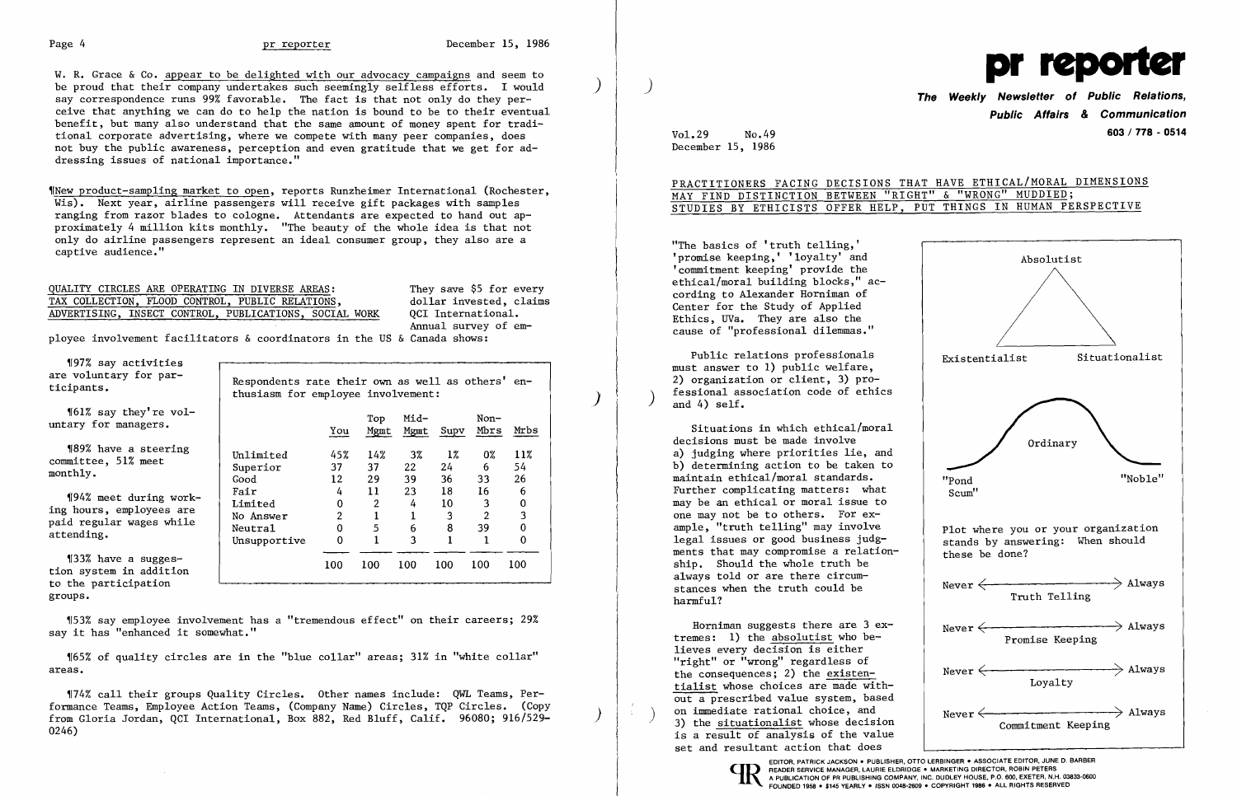W. R. Grace & Co. appear to be delighted with our advocacy campaigns and seem to be proud that their company undertakes such seemingly selfless efforts. I would say correspondence runs 99% favorable. The fact is that not only do they per ceive that anything we can do to help the nation is bound to be to their eventual benefit, but many also understand that the same amount of money spent for tradi tional corporate advertising, where we compete with many peer companies, does not buy the public awareness, perception and even gratitude that we get for ad dressing issues of national importance."

> They save \$5 for every dollar invested, claims OCI International. Annual survey of em-

- -<del>---</del> -<del>--</del> --- --- -

'197% say activities are voluntary for par-<br>ticipants.<br>"Respondents rate their own as well as others' en-<br>thusiasm for employee involvement:<br>"161% say they're yol-

""161% say they're vol-<br>"Top Mid- Non-<br>"You Mgmt Mgmt Supv Mbrs Mrbs"

'INew product-sampling market to open, reports Runzheimer International (Rochester, Wis). Next year, airline passengers will receive gift packages with samples ranging from razor blades to cologne. Attendants are expected to hand out approximately 4 million kits monthly. "The beauty of the whole idea is that not only do airline passengers represent an ideal consumer group, they also are a captive audience."

| QUALITY CIRCLES ARE OPERATING IN DIVERSE AREAS:        |  |  |  |
|--------------------------------------------------------|--|--|--|
| TAX COLLECTION, FLOOD CONTROL, PUBLIC RELATIONS,       |  |  |  |
| ADVERTISING, INSECT CONTROL, PUBLICATIONS, SOCIAL WORK |  |  |  |

ployee involvement facilitators & coordinators in the US & Canada shows:

Public relations professionals must answer to 1) public welfare, 2) organization or client, 3) professional association code of ethics<br>and  $4$ ) self.

'189% have a steering Unlimited 45% 14% 3% 1% 0% 11% committee, 51% meet Superior 37 37 22 24 6 54 monthly. Good 12 <sup>29</sup> <sup>39</sup> 36 33 <sup>26</sup>

 $\begin{array}{cccc} \text{{\tt f94\%} meet during work-} & \text{{\tt Fair}} & 4 & 11 & 23 & 18 & 16 & 6 \ \text{ing hours, employees are} & \text{{\tt No Answer}} & 2 & 1 & 1 & 3 & 2 & 3 \ \text{etending.} & \text{{\tt Msupper}ttive} & 0 & 1 & 3 & 1 & 1 & 0 \end{array}$ 

'[33% have a sugges 100 100 100 100 100 100 tion system in addition to the participation groups.

'153% say employee involvement has a "tremendous effect" on their careers; 29% say it has "enhanced it somewhat."

'[65% of quality circles are in the "blue collar" areas; 31% in "white collar" areas.

'174% call their groups Quality Circles. Other names include: QWL Teams, Performance Teams, Employee Action Teams, (Company Name) Circles, TQP Circles. (Copy from Gloria Jordan, QCI International, Box 882, Red Bluff, Calif. 96080; 916/529-0246)



**Public Affairs & Communication 603/ 778 - <sup>0514</sup>**

Vol.29 No.49 December 15, 1986

PRACTITIONERS FACING DECISIONS THAT HAVE ETHICAL/MORAL DIMENSIONS

# MAY FIND DISTINCTION BETWEEN "RIGHT" & "WRONG" MUDDIED; STUDIES BY ETHICISTS OFFER HELP, PUT THINGS IN HUMAN PERSPECTIVE

"The basics of 'truth telling,' 'promise keeping,' 'loyalty' and 'commitment keeping' provide the ethical/moral building blocks," according to Alexander Horniman of Center for the Study of Applied Ethics, UVa. They are also the cause of "professional dilemmas."

Situations in which ethical/moral decisions must be made involve a) judging where priorities lie, and b) determining action to be taken to maintain ethical/moral standards. Further complicating matters: what may be an ethical or moral issue to one may not be to others. For example, "truth telling" may involve legal issues or good business judgments that may compromise a relationship. Should the whole truth be always told or are there circumstances when the truth could be harmful?

Horniman suggests there are 3 extremes: 1) the absolutist who believes every decision is either "right" or "wrong" regardless of the consequences; 2) the existentialist whose choices are made without a prescribed value system, based on immediate rational choice, and<br>3) the situationalist whose decision is a result of analysis of the value set and resultant action that does

EDITOR, PATRICK JACKSON . PUBLISHER, OTTO LERBINGER . ASSOCIATE EDITOR, JUNE D. BARBER<br>READER SERVICE MANAGER, LAURIE ELDRIDGE . MARKETING DIRECTOR, ROBIN PETERS<br>A PUBLICATION OF PR PUBLISHING COMPANY, INC. DUDLEY HOUSE, P FOUNDED 1958 • \$145 YEARLY • ISSN 0048-2609 • COPYRIGHT 1986 • ALL RIGHTS RESERVED